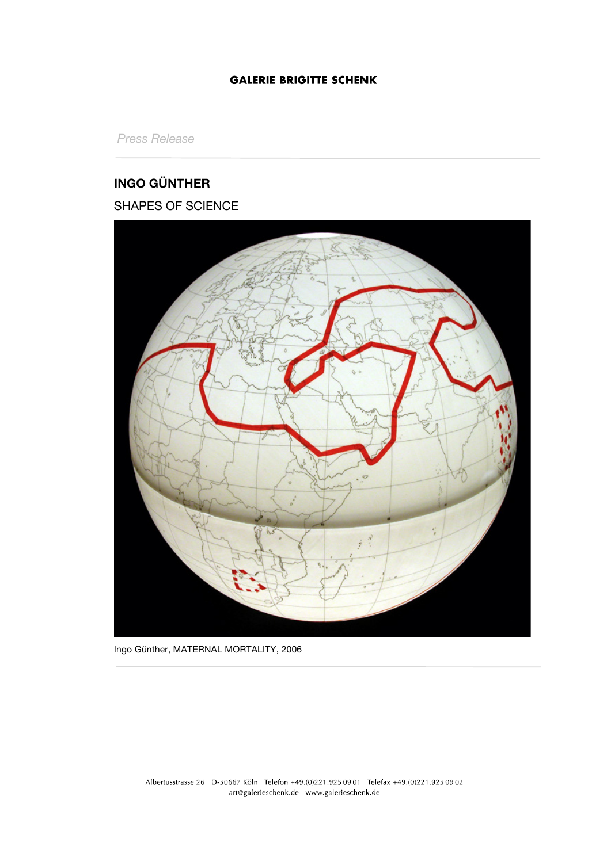*Press Release*

# **INGO GÜNTHER**

## SHAPES OF SCIENCE



Ingo Günther, MATERNAL MORTALITY, 2006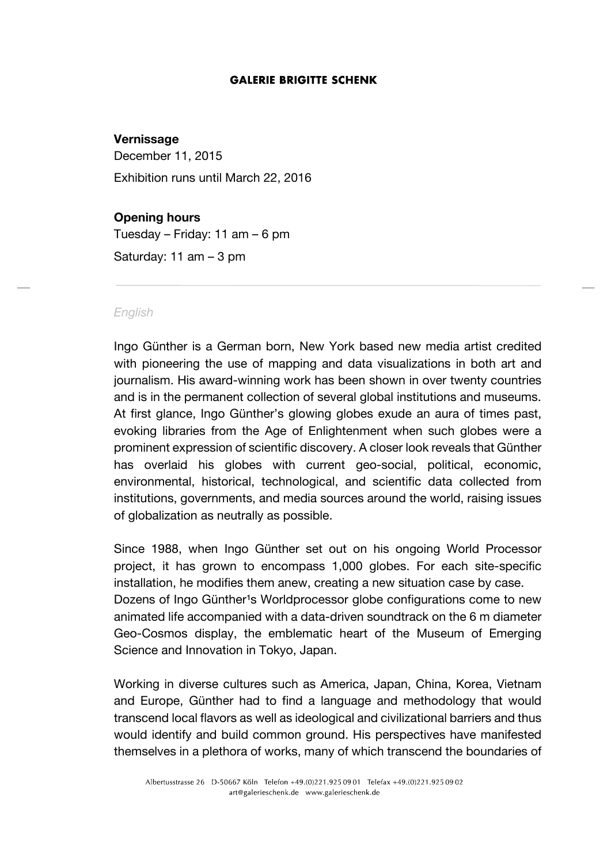## **Vernissage**

December 11, 2015

Exhibition runs until March 22, 2016

## **Opening hours**

Tuesday – Friday: 11 am – 6 pm Saturday: 11 am – 3 pm

#### *English*

Ingo Günther is a German born, New York based new media artist credited with pioneering the use of mapping and data visualizations in both art and journalism. His award-winning work has been shown in over twenty countries and is in the permanent collection of several global institutions and museums. At first glance, Ingo Günther's glowing globes exude an aura of times past, evoking libraries from the Age of Enlightenment when such globes were a prominent expression of scientific discovery. A closer look reveals that Günther has overlaid his globes with current geo-social, political, economic, environmental, historical, technological, and scientific data collected from institutions, governments, and media sources around the world, raising issues of globalization as neutrally as possible.

Since 1988, when Ingo Günther set out on his ongoing World Processor project, it has grown to encompass 1,000 globes. For each site-specific installation, he modifies them anew, creating a new situation case by case. Dozens of Ingo Günther<sup>1</sup>s Worldprocessor globe configurations come to new animated life accompanied with a data-driven soundtrack on the 6 m diameter Geo-Cosmos display, the emblematic heart of the Museum of Emerging Science and Innovation in Tokyo, Japan.

Working in diverse cultures such as America, Japan, China, Korea, Vietnam and Europe, Günther had to find a language and methodology that would transcend local flavors as well as ideological and civilizational barriers and thus would identify and build common ground. His perspectives have manifested themselves in a plethora of works, many of which transcend the boundaries of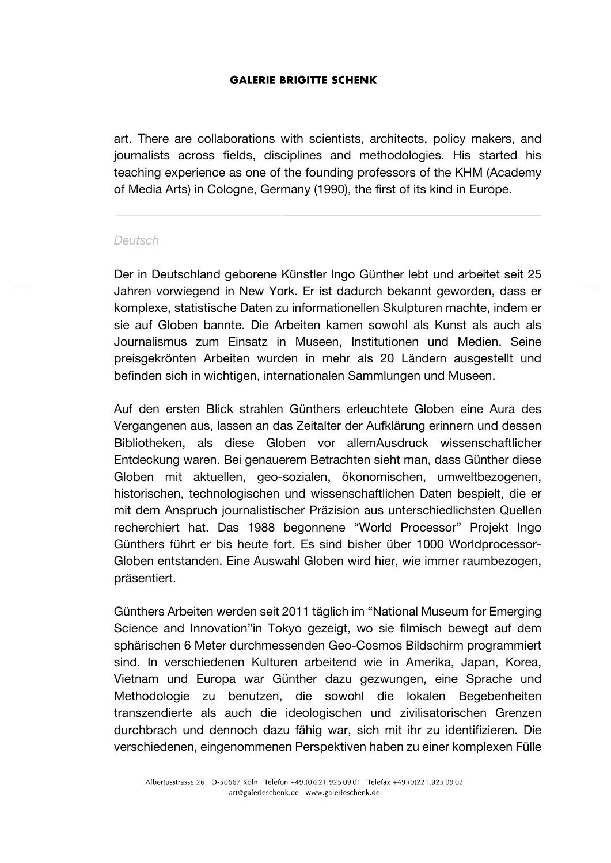art. There are collaborations with scientists, architects, policy makers, and journalists across fields, disciplines and methodologies. His started his teaching experience as one of the founding professors of the KHM (Academy of Media Arts) in Cologne, Germany (1990), the first of its kind in Europe.

#### *Deutsch*

Der in Deutschland geborene Künstler Ingo Günther lebt und arbeitet seit 25 Jahren vorwiegend in New York. Er ist dadurch bekannt geworden, dass er komplexe, statistische Daten zu informationellen Skulpturen machte, indem er sie auf Globen bannte. Die Arbeiten kamen sowohl als Kunst als auch als Journalismus zum Einsatz in Museen, Institutionen und Medien. Seine preisgekrönten Arbeiten wurden in mehr als 20 Ländern ausgestellt und befinden sich in wichtigen, internationalen Sammlungen und Museen.

Auf den ersten Blick strahlen Günthers erleuchtete Globen eine Aura des Vergangenen aus, lassen an das Zeitalter der Aufklärung erinnern und dessen Bibliotheken, als diese Globen vor allemAusdruck wissenschaftlicher Entdeckung waren. Bei genauerem Betrachten sieht man, dass Günther diese Globen mit aktuellen, geo-sozialen, ökonomischen, umweltbezogenen, historischen, technologischen und wissenschaftlichen Daten bespielt, die er mit dem Anspruch journalistischer Präzision aus unterschiedlichsten Quellen recherchiert hat. Das 1988 begonnene "World Processor" Projekt Ingo Günthers führt er bis heute fort. Es sind bisher über 1000 Worldprocessor-Globen entstanden. Eine Auswahl Globen wird hier, wie immer raumbezogen, präsentiert.

Günthers Arbeiten werden seit 2011 täglich im "National Museum for Emerging Science and Innovation"in Tokyo gezeigt, wo sie filmisch bewegt auf dem sphärischen 6 Meter durchmessenden Geo-Cosmos Bildschirm programmiert sind. In verschiedenen Kulturen arbeitend wie in Amerika, Japan, Korea, Vietnam und Europa war Günther dazu gezwungen, eine Sprache und Methodologie zu benutzen, die sowohl die lokalen Begebenheiten transzendierte als auch die ideologischen und zivilisatorischen Grenzen durchbrach und dennoch dazu fähig war, sich mit ihr zu identifizieren. Die verschiedenen, eingenommenen Perspektiven haben zu einer komplexen Fülle